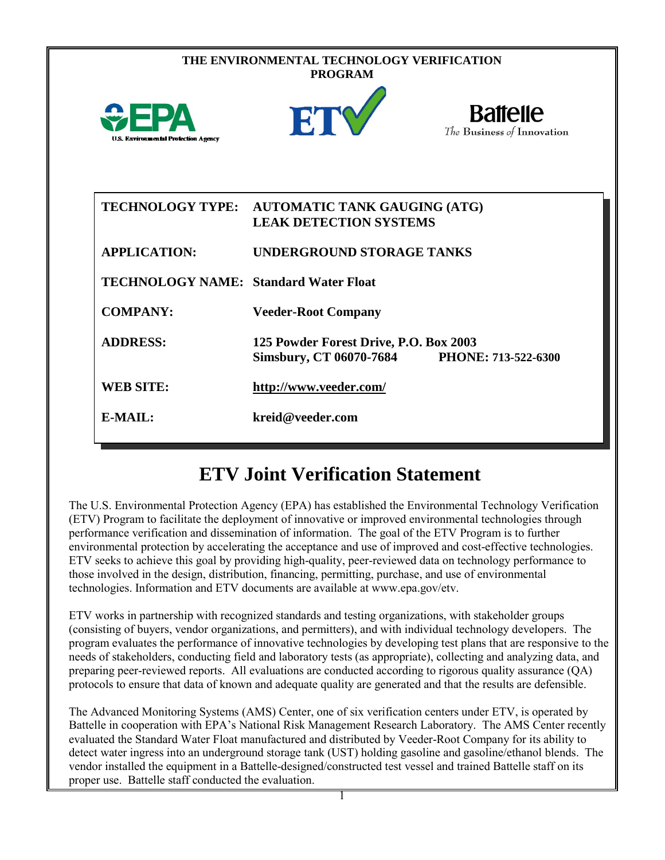| THE ENVIRONMENTAL TECHNOLOGY VERIFICATION<br><b>PROGRAM</b> |                                                                          |                                               |  |  |
|-------------------------------------------------------------|--------------------------------------------------------------------------|-----------------------------------------------|--|--|
| <b>U.S. Environmental Protection Agency</b>                 | ETY                                                                      | <b>Battelle</b><br>The Business of Innovation |  |  |
| <b>TECHNOLOGY TYPE:</b>                                     | <b>AUTOMATIC TANK GAUGING (ATG)</b><br><b>LEAK DETECTION SYSTEMS</b>     |                                               |  |  |
| <b>APPLICATION:</b>                                         | <b>UNDERGROUND STORAGE TANKS</b>                                         |                                               |  |  |
| <b>TECHNOLOGY NAME: Standard Water Float</b>                |                                                                          |                                               |  |  |
| <b>COMPANY:</b>                                             | <b>Veeder-Root Company</b>                                               |                                               |  |  |
| <b>ADDRESS:</b>                                             | 125 Powder Forest Drive, P.O. Box 2003<br><b>Simsbury, CT 06070-7684</b> | PHONE: 713-522-6300                           |  |  |
| <b>WEB SITE:</b>                                            | http://www.veeder.com/                                                   |                                               |  |  |
| <b>E-MAIL:</b>                                              | kreid@veeder.com                                                         |                                               |  |  |

## **ETV Joint Verification Statement**

The U.S. Environmental Protection Agency (EPA) has established the Environmental Technology Verification (ETV) Program to facilitate the deployment of innovative or improved environmental technologies through performance verification and dissemination of information. The goal of the ETV Program is to further environmental protection by accelerating the acceptance and use of improved and cost-effective technologies. ETV seeks to achieve this goal by providing high-quality, peer-reviewed data on technology performance to those involved in the design, distribution, financing, permitting, purchase, and use of environmental technologies. Information and ETV documents are available at www.epa.gov/etv.

ETV works in partnership with recognized standards and testing organizations, with stakeholder groups (consisting of buyers, vendor organizations, and permitters), and with individual technology developers. The program evaluates the performance of innovative technologies by developing test plans that are responsive to the needs of stakeholders, conducting field and laboratory tests (as appropriate), collecting and analyzing data, and preparing peer-reviewed reports. All evaluations are conducted according to rigorous quality assurance (QA) protocols to ensure that data of known and adequate quality are generated and that the results are defensible.

The Advanced Monitoring Systems (AMS) Center, one of six verification centers under ETV, is operated by Battelle in cooperation with EPA's National Risk Management Research Laboratory. The AMS Center recently evaluated the Standard Water Float manufactured and distributed by Veeder-Root Company for its ability to detect water ingress into an underground storage tank (UST) holding gasoline and gasoline/ethanol blends. The vendor installed the equipment in a Battelle-designed/constructed test vessel and trained Battelle staff on its proper use. Battelle staff conducted the evaluation.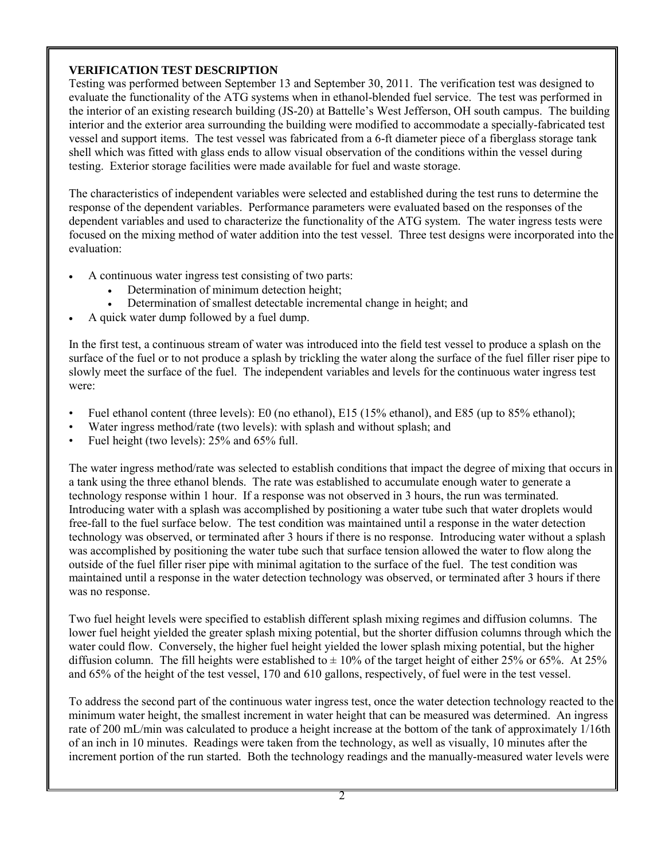## **VERIFICATION TEST DESCRIPTION**

Testing was performed between September 13 and September 30, 2011. The verification test was designed to evaluate the functionality of the ATG systems when in ethanol-blended fuel service. The test was performed in the interior of an existing research building (JS-20) at Battelle's West Jefferson, OH south campus. The building interior and the exterior area surrounding the building were modified to accommodate a specially-fabricated test vessel and support items. The test vessel was fabricated from a 6-ft diameter piece of a fiberglass storage tank shell which was fitted with glass ends to allow visual observation of the conditions within the vessel during testing. Exterior storage facilities were made available for fuel and waste storage.

The characteristics of independent variables were selected and established during the test runs to determine the response of the dependent variables. Performance parameters were evaluated based on the responses of the dependent variables and used to characterize the functionality of the ATG system. The water ingress tests were focused on the mixing method of water addition into the test vessel. Three test designs were incorporated into the evaluation:

- A continuous water ingress test consisting of two parts:
	- Determination of minimum detection height;
	- Determination of smallest detectable incremental change in height; and
- A quick water dump followed by a fuel dump.

In the first test, a continuous stream of water was introduced into the field test vessel to produce a splash on the surface of the fuel or to not produce a splash by trickling the water along the surface of the fuel filler riser pipe to slowly meet the surface of the fuel. The independent variables and levels for the continuous water ingress test were:

- Fuel ethanol content (three levels): E0 (no ethanol), E15 (15% ethanol), and E85 (up to 85% ethanol);
- Water ingress method/rate (two levels): with splash and without splash; and
- Fuel height (two levels): 25% and 65% full.

The water ingress method/rate was selected to establish conditions that impact the degree of mixing that occurs in a tank using the three ethanol blends. The rate was established to accumulate enough water to generate a technology response within 1 hour. If a response was not observed in 3 hours, the run was terminated. Introducing water with a splash was accomplished by positioning a water tube such that water droplets would free-fall to the fuel surface below. The test condition was maintained until a response in the water detection technology was observed, or terminated after 3 hours if there is no response. Introducing water without a splash was accomplished by positioning the water tube such that surface tension allowed the water to flow along the outside of the fuel filler riser pipe with minimal agitation to the surface of the fuel. The test condition was maintained until a response in the water detection technology was observed, or terminated after 3 hours if there was no response.

Two fuel height levels were specified to establish different splash mixing regimes and diffusion columns. The lower fuel height yielded the greater splash mixing potential, but the shorter diffusion columns through which the water could flow. Conversely, the higher fuel height yielded the lower splash mixing potential, but the higher diffusion column. The fill heights were established to  $\pm$  10% of the target height of either 25% or 65%. At 25% and 65% of the height of the test vessel, 170 and 610 gallons, respectively, of fuel were in the test vessel.

To address the second part of the continuous water ingress test, once the water detection technology reacted to the minimum water height, the smallest increment in water height that can be measured was determined. An ingress rate of 200 mL/min was calculated to produce a height increase at the bottom of the tank of approximately 1/16th of an inch in 10 minutes. Readings were taken from the technology, as well as visually, 10 minutes after the increment portion of the run started. Both the technology readings and the manually-measured water levels were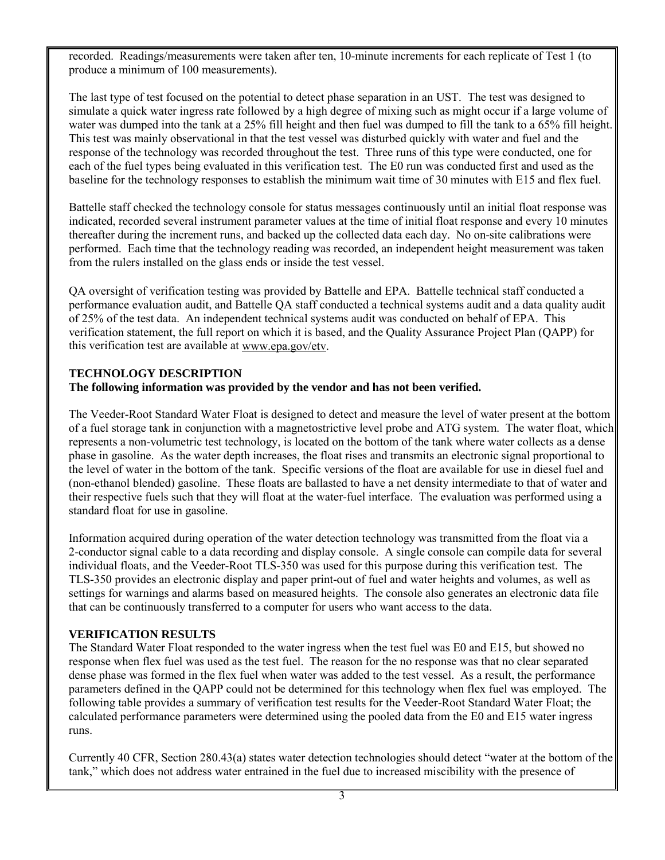recorded. Readings/measurements were taken after ten, 10-minute increments for each replicate of Test 1 (to produce a minimum of 100 measurements).

The last type of test focused on the potential to detect phase separation in an UST. The test was designed to simulate a quick water ingress rate followed by a high degree of mixing such as might occur if a large volume of water was dumped into the tank at a 25% fill height and then fuel was dumped to fill the tank to a 65% fill height. This test was mainly observational in that the test vessel was disturbed quickly with water and fuel and the response of the technology was recorded throughout the test. Three runs of this type were conducted, one for each of the fuel types being evaluated in this verification test. The E0 run was conducted first and used as the baseline for the technology responses to establish the minimum wait time of 30 minutes with E15 and flex fuel.

Battelle staff checked the technology console for status messages continuously until an initial float response was indicated, recorded several instrument parameter values at the time of initial float response and every 10 minutes thereafter during the increment runs, and backed up the collected data each day. No on-site calibrations were performed. Each time that the technology reading was recorded, an independent height measurement was taken from the rulers installed on the glass ends or inside the test vessel.

QA oversight of verification testing was provided by Battelle and EPA. Battelle technical staff conducted a performance evaluation audit, and Battelle QA staff conducted a technical systems audit and a data quality audit of 25% of the test data. An independent technical systems audit was conducted on behalf of EPA. This verification statement, the full report on which it is based, and the Quality Assurance Project Plan (QAPP) for this verification test are available at [www.epa.gov/etv.](http://www.epa.gov/etv)

## **TECHNOLOGY DESCRIPTION The following information was provided by the vendor and has not been verified.**

The Veeder-Root Standard Water Float is designed to detect and measure the level of water present at the bottom of a fuel storage tank in conjunction with a magnetostrictive level probe and ATG system. The water float, which represents a non-volumetric test technology, is located on the bottom of the tank where water collects as a dense phase in gasoline. As the water depth increases, the float rises and transmits an electronic signal proportional to the level of water in the bottom of the tank. Specific versions of the float are available for use in diesel fuel and (non-ethanol blended) gasoline. These floats are ballasted to have a net density intermediate to that of water and their respective fuels such that they will float at the water-fuel interface. The evaluation was performed using a standard float for use in gasoline.

Information acquired during operation of the water detection technology was transmitted from the float via a 2-conductor signal cable to a data recording and display console. A single console can compile data for several individual floats, and the Veeder-Root TLS-350 was used for this purpose during this verification test. The TLS-350 provides an electronic display and paper print-out of fuel and water heights and volumes, as well as settings for warnings and alarms based on measured heights. The console also generates an electronic data file that can be continuously transferred to a computer for users who want access to the data.

## **VERIFICATION RESULTS**

The Standard Water Float responded to the water ingress when the test fuel was E0 and E15, but showed no response when flex fuel was used as the test fuel. The reason for the no response was that no clear separated dense phase was formed in the flex fuel when water was added to the test vessel. As a result, the performance parameters defined in the QAPP could not be determined for this technology when flex fuel was employed. The following table provides a summary of verification test results for the Veeder-Root Standard Water Float; the calculated performance parameters were determined using the pooled data from the E0 and E15 water ingress runs.

Currently 40 CFR, Section 280.43(a) states water detection technologies should detect "water at the bottom of the tank," which does not address water entrained in the fuel due to increased miscibility with the presence of